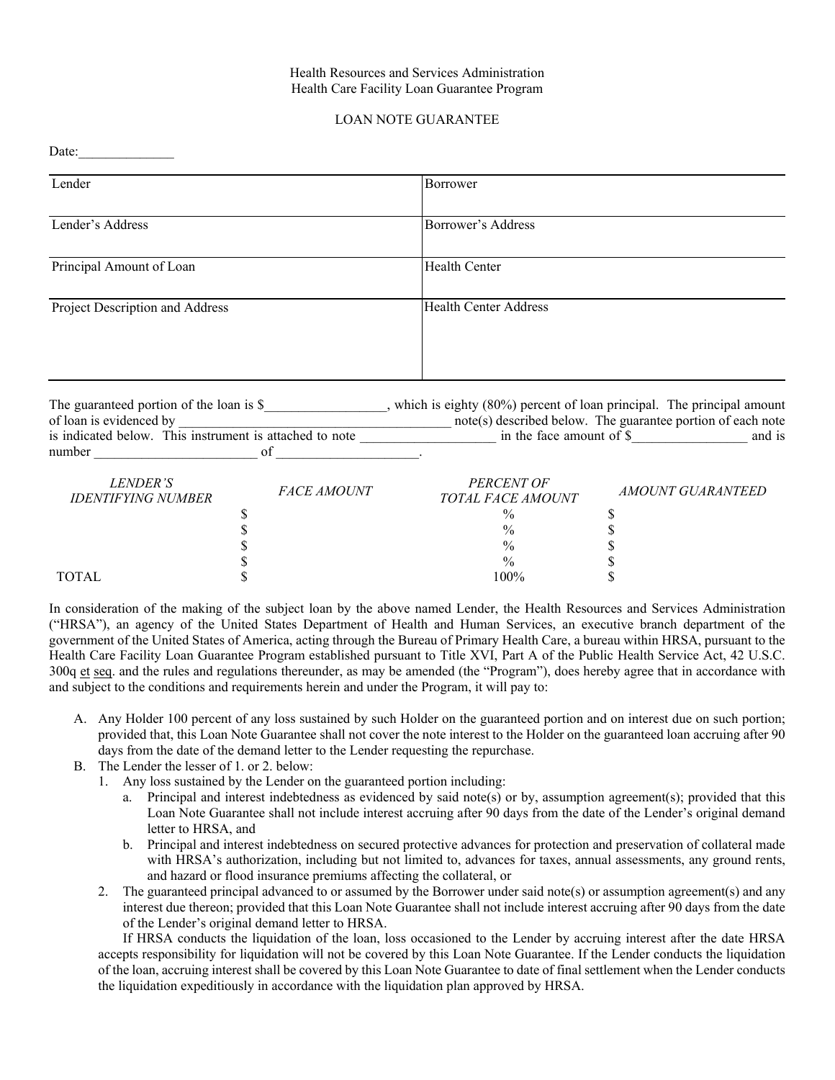### Health Resources and Services Administration Health Care Facility Loan Guarantee Program

# LOAN NOTE GUARANTEE

| Date:                           |                              |
|---------------------------------|------------------------------|
| Lender                          | Borrower                     |
| Lender's Address                | Borrower's Address           |
| Principal Amount of Loan        | <b>Health Center</b>         |
| Project Description and Address | <b>Health Center Address</b> |
|                                 |                              |

| The guaranteed portion of the loan is $\$               | which is eighty (80%) percent of loan principal. The principal amount |
|---------------------------------------------------------|-----------------------------------------------------------------------|
| of loan is evidenced by                                 | note(s) described below. The guarantee portion of each note           |
| is indicated below. This instrument is attached to note | in the face amount of S<br>and is                                     |
| number                                                  |                                                                       |

| <i>LENDER'S</i><br><b>IDENTIFYING NUMBER</b> | <b>FACE AMOUNT</b> | PERCENT OF<br>TOTAL FACE AMOUNT | <i>AMOUNT GUARANTEED</i> |
|----------------------------------------------|--------------------|---------------------------------|--------------------------|
|                                              |                    | $\frac{0}{0}$                   |                          |
|                                              |                    | $\frac{0}{0}$                   |                          |
|                                              |                    | $\frac{0}{0}$                   |                          |
|                                              |                    | $\frac{0}{0}$                   |                          |
| <b>TOTAL</b>                                 |                    | 100%                            |                          |

 In consideration of the making of the subject loan by the above named Lender, the Health Resources and Services Administration government of the United States of America, acting through the Bureau of Primary Health Care, a bureau within HRSA, pursuant to the Health Care Facility Loan Guarantee Program established pursuant to Title XVI, Part A of the Public Health Service Act, 42 U.S.C. and subject to the conditions and requirements herein and under the Program, it will pay to: ("HRSA"), an agency of the United States Department of Health and Human Services, an executive branch department of the 300q et seq. and the rules and regulations thereunder, as may be amended (the "Program"), does hereby agree that in accordance with

- A. Any Holder 100 percent of any loss sustained by such Holder on the guaranteed portion and on interest due on such portion; provided that, this Loan Note Guarantee shall not cover the note interest to the Holder on the guaranteed loan accruing after 90 days from the date of the demand letter to the Lender requesting the repurchase.
- B. The Lender the lesser of 1. or 2. below:
	- 1. Any loss sustained by the Lender on the guaranteed portion including:
		- Loan Note Guarantee shall not include interest accruing after 90 days from the date of the Lender's original demand letter to HRSA, and a. Principal and interest indebtedness as evidenced by said note(s) or by, assumption agreement(s); provided that this
		- b. Principal and interest indebtedness on secured protective advances for protection and preservation of collateral made with HRSA's authorization, including but not limited to, advances for taxes, annual assessments, any ground rents, and hazard or flood insurance premiums affecting the collateral, or
	- 2. The guaranteed principal advanced to or assumed by the Borrower under said note(s) or assumption agreement(s) and any interest due thereon; provided that this Loan Note Guarantee shall not include interest accruing after 90 days from the date of the Lender's original demand letter to HRSA.

 If HRSA conducts the liquidation of the loan, loss occasioned to the Lender by accruing interest after the date HRSA accepts responsibility for liquidation will not be covered by this Loan Note Guarantee. If the Lender conducts the liquidation of the loan, accruing interest shall be covered by this Loan Note Guarantee to date of final settlement when the Lender conducts the liquidation expeditiously in accordance with the liquidation plan approved by HRSA.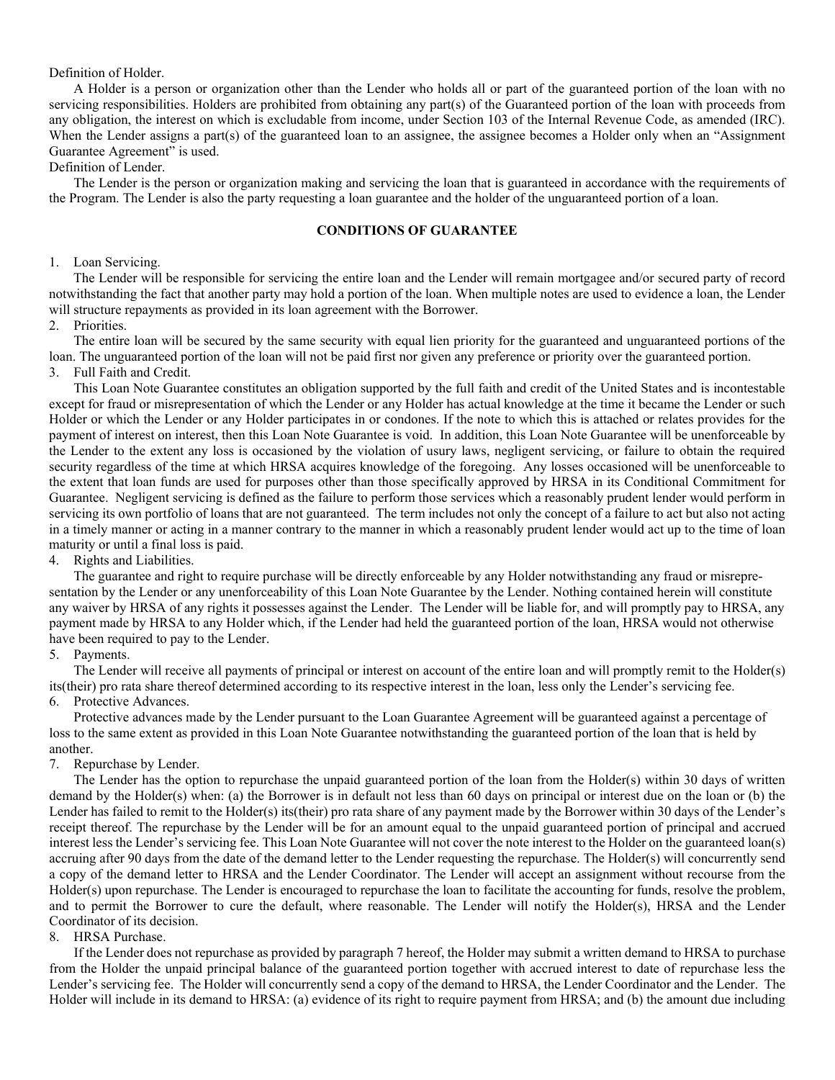Definition of Holder.

 A Holder is a person or organization other than the Lender who holds all or part of the guaranteed portion of the loan with no any obligation, the interest on which is excludable from income, under Section 103 of the Internal Revenue Code, as amended (IRC). servicing responsibilities. Holders are prohibited from obtaining any part(s) of the Guaranteed portion of the loan with proceeds from When the Lender assigns a part(s) of the guaranteed loan to an assignee, the assignee becomes a Holder only when an "Assignment Guarantee Agreement" is used.

# Definition of Lender.

 the Program. The Lender is also the party requesting a loan guarantee and the holder of the unguaranteed portion of a loan. The Lender is the person or organization making and servicing the loan that is guaranteed in accordance with the requirements of

## **CONDITIONS OF GUARANTEE**

### 1. Loan Servicing.

 The Lender will be responsible for servicing the entire loan and the Lender will remain mortgagee and/or secured party of record notwithstanding the fact that another party may hold a portion of the loan. When multiple notes are used to evidence a loan, the Lender will structure repayments as provided in its loan agreement with the Borrower.

#### 2. Priorities.

 The entire loan will be secured by the same security with equal lien priority for the guaranteed and unguaranteed portions of the loan. The unguaranteed portion of the loan will not be paid first nor given any preference or priority over the guaranteed portion. 3. Full Faith and Credit.

 This Loan Note Guarantee constitutes an obligation supported by the full faith and credit of the United States and is incontestable except for fraud or misrepresentation of which the Lender or any Holder has actual knowledge at the time it became the Lender or such Holder or which the Lender or any Holder participates in or condones. If the note to which this is attached or relates provides for the payment of interest on interest, then this Loan Note Guarantee is void. In addition, this Loan Note Guarantee will be unenforceable by the Lender to the extent any loss is occasioned by the violation of usury laws, negligent servicing, or failure to obtain the required the extent that loan funds are used for purposes other than those specifically approved by HRSA in its Conditional Commitment for Guarantee. Negligent servicing is defined as the failure to perform those services which a reasonably prudent lender would perform in servicing its own portfolio of loans that are not guaranteed. The term includes not only the concept of a failure to act but also not acting in a timely manner or acting in a manner contrary to the manner in which a reasonably prudent lender would act up to the time of loan maturity or until a final loss is paid. security regardless of the time at which HRSA acquires knowledge of the foregoing. Any losses occasioned will be unenforceable to

### 4. Rights and Liabilities.

 The guarantee and right to require purchase will be directly enforceable by any Holder notwithstanding any fraud or misrepre- sentation by the Lender or any unenforceability of this Loan Note Guarantee by the Lender. Nothing contained herein will constitute any waiver by HRSA of any rights it possesses against the Lender. The Lender will be liable for, and will promptly pay to HRSA, any payment made by HRSA to any Holder which, if the Lender had held the guaranteed portion of the loan, HRSA would not otherwise have been required to pay to the Lender.

### 5. Payments.

 The Lender will receive all payments of principal or interest on account of the entire loan and will promptly remit to the Holder(s) its(their) pro rata share thereof determined according to its respective interest in the loan, less only the Lender's servicing fee.

### 6. Protective Advances.

 Protective advances made by the Lender pursuant to the Loan Guarantee Agreement will be guaranteed against a percentage of loss to the same extent as provided in this Loan Note Guarantee notwithstanding the guaranteed portion of the loan that is held by another.

## 7. Repurchase by Lender.

 demand by the Holder(s) when: (a) the Borrower is in default not less than 60 days on principal or interest due on the loan or (b) the Lender has failed to remit to the Holder(s) its(their) pro rata share of any payment made by the Borrower within 30 days of the Lender's interest less the Lender's servicing fee. This Loan Note Guarantee will not cover the note interest to the Holder on the guaranteed loan(s) accruing after 90 days from the date of the demand letter to the Lender requesting the repurchase. The Holder(s) will concurrently send a copy of the demand letter to HRSA and the Lender Coordinator. The Lender will accept an assignment without recourse from the Holder(s) upon repurchase. The Lender is encouraged to repurchase the loan to facilitate the accounting for funds, resolve the problem, and to permit the Borrower to cure the default, where reasonable. The Lender will notify the Holder(s), HRSA and the Lender Coordinator of its decision. The Lender has the option to repurchase the unpaid guaranteed portion of the loan from the Holder(s) within 30 days of written receipt thereof. The repurchase by the Lender will be for an amount equal to the unpaid guaranteed portion of principal and accrued

#### 8. HRSA Purchase.

 If the Lender does not repurchase as provided by paragraph 7 hereof, the Holder may submit a written demand to HRSA to purchase from the Holder the unpaid principal balance of the guaranteed portion together with accrued interest to date of repurchase less the Lender's servicing fee. The Holder will concurrently send a copy of the demand to HRSA, the Lender Coordinator and the Lender. The Holder will include in its demand to HRSA: (a) evidence of its right to require payment from HRSA; and (b) the amount due including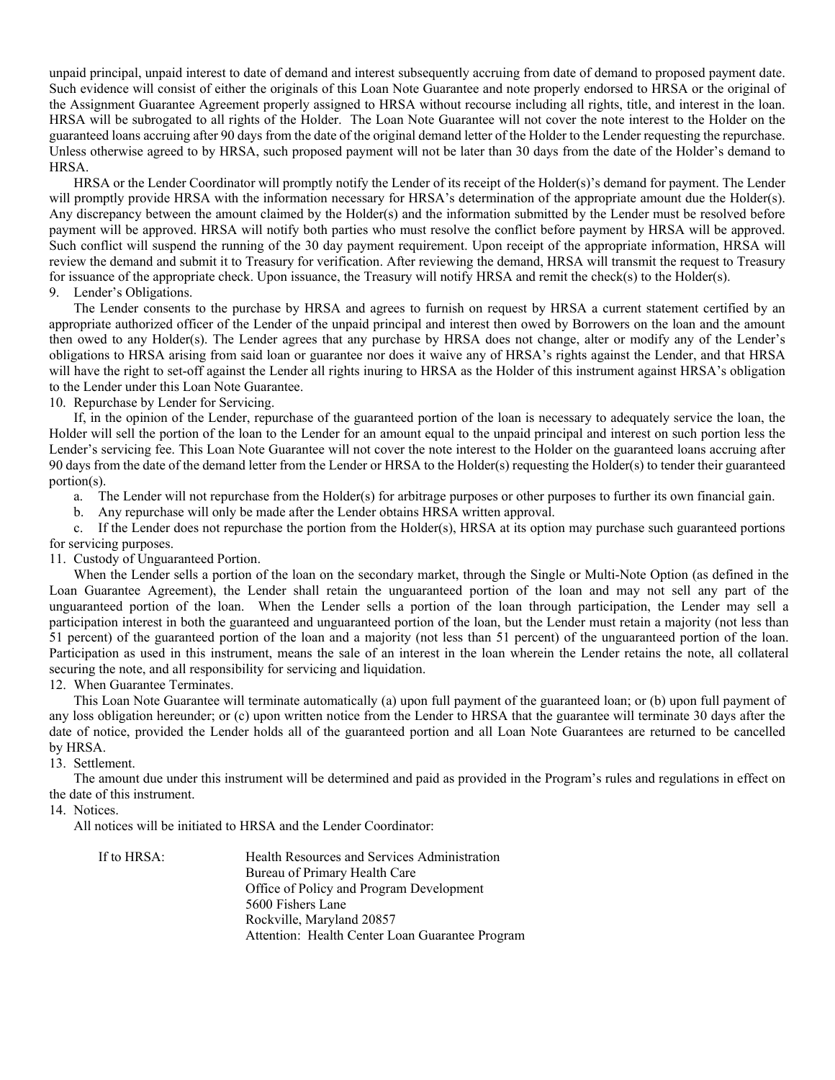unpaid principal, unpaid interest to date of demand and interest subsequently accruing from date of demand to proposed payment date. Such evidence will consist of either the originals of this Loan Note Guarantee and note properly endorsed to HRSA or the original of the Assignment Guarantee Agreement properly assigned to HRSA without recourse including all rights, title, and interest in the loan. HRSA will be subrogated to all rights of the Holder. The Loan Note Guarantee will not cover the note interest to the Holder on the guaranteed loans accruing after 90 days from the date of the original demand letter of the Holder to the Lender requesting the repurchase. Unless otherwise agreed to by HRSA, such proposed payment will not be later than 30 days from the date of the Holder's demand to HRSA.

 HRSA or the Lender Coordinator will promptly notify the Lender of its receipt of the Holder(s)'s demand for payment. The Lender will promptly provide HRSA with the information necessary for HRSA's determination of the appropriate amount due the Holder(s). Any discrepancy between the amount claimed by the Holder(s) and the information submitted by the Lender must be resolved before payment will be approved. HRSA will notify both parties who must resolve the conflict before payment by HRSA will be approved. Such conflict will suspend the running of the 30 day payment requirement. Upon receipt of the appropriate information, HRSA will review the demand and submit it to Treasury for verification. After reviewing the demand, HRSA will transmit the request to Treasury for issuance of the appropriate check. Upon issuance, the Treasury will notify HRSA and remit the check(s) to the Holder(s). 9. Lender's Obligations.

 The Lender consents to the purchase by HRSA and agrees to furnish on request by HRSA a current statement certified by an appropriate authorized officer of the Lender of the unpaid principal and interest then owed by Borrowers on the loan and the amount then owed to any Holder(s). The Lender agrees that any purchase by HRSA does not change, alter or modify any of the Lender's obligations to HRSA arising from said loan or guarantee nor does it waive any of HRSA's rights against the Lender, and that HRSA will have the right to set-off against the Lender all rights inuring to HRSA as the Holder of this instrument against HRSA's obligation to the Lender under this Loan Note Guarantee.

10. Repurchase by Lender for Servicing.

 If, in the opinion of the Lender, repurchase of the guaranteed portion of the loan is necessary to adequately service the loan, the Lender's servicing fee. This Loan Note Guarantee will not cover the note interest to the Holder on the guaranteed loans accruing after 90 days from the date of the demand letter from the Lender or HRSA to the Holder(s) requesting the Holder(s) to tender their guaranteed Holder will sell the portion of the loan to the Lender for an amount equal to the unpaid principal and interest on such portion less the portion(s).

a. The Lender will not repurchase from the Holder(s) for arbitrage purposes or other purposes to further its own financial gain.

b. Any repurchase will only be made after the Lender obtains HRSA written approval.

 c. If the Lender does not repurchase the portion from the Holder(s), HRSA at its option may purchase such guaranteed portions for servicing purposes.

11. Custody of Unguaranteed Portion.

 When the Lender sells a portion of the loan on the secondary market, through the Single or Multi-Note Option (as defined in the Loan Guarantee Agreement), the Lender shall retain the unguaranteed portion of the loan and may not sell any part of the participation interest in both the guaranteed and unguaranteed portion of the loan, but the Lender must retain a majority (not less than unguaranteed portion of the loan. When the Lender sells a portion of the loan through participation, the Lender may sell a 51 percent) of the guaranteed portion of the loan and a majority (not less than 51 percent) of the unguaranteed portion of the loan. Participation as used in this instrument, means the sale of an interest in the loan wherein the Lender retains the note, all collateral securing the note, and all responsibility for servicing and liquidation.

12. When Guarantee Terminates.

 This Loan Note Guarantee will terminate automatically (a) upon full payment of the guaranteed loan; or (b) upon full payment of any loss obligation hereunder; or (c) upon written notice from the Lender to HRSA that the guarantee will terminate 30 days after the by HRSA. date of notice, provided the Lender holds all of the guaranteed portion and all Loan Note Guarantees are returned to be cancelled

13. Settlement.

 the date of this instrument. The amount due under this instrument will be determined and paid as provided in the Program's rules and regulations in effect on

14. Notices.

All notices will be initiated to HRSA and the Lender Coordinator:

| If to HRSA: | Health Resources and Services Administration    |
|-------------|-------------------------------------------------|
|             | Bureau of Primary Health Care                   |
|             | Office of Policy and Program Development        |
|             | 5600 Fishers Lane                               |
|             | Rockville, Maryland 20857                       |
|             | Attention: Health Center Loan Guarantee Program |